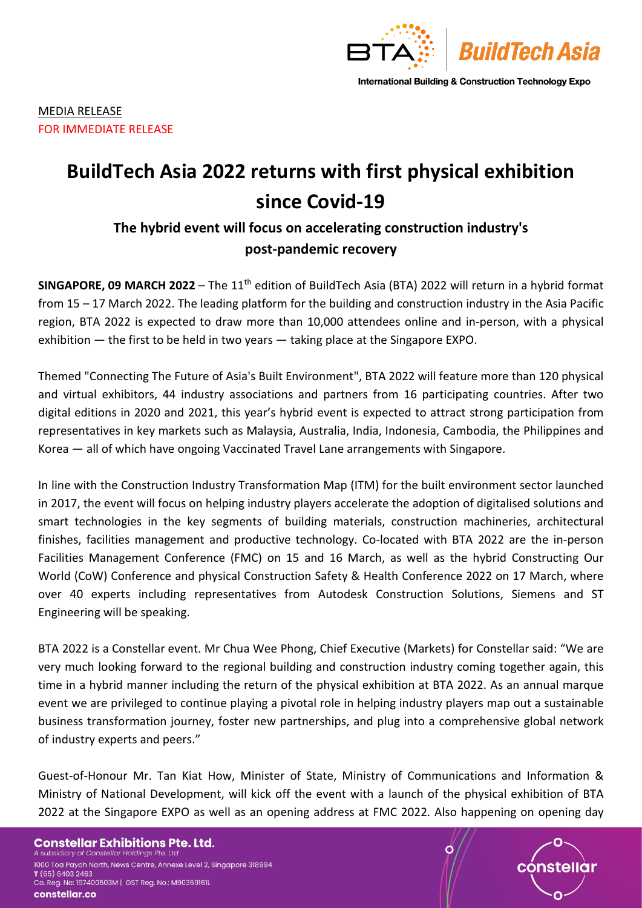

# **BuildTech Asia 2022 returns with first physical exhibition since Covid-19**

## **The hybrid event will focus on accelerating construction industry's post-pandemic recovery**

**SINGAPORE, 09 MARCH 2022** – The 11th edition of BuildTech Asia (BTA) 2022 will return in a hybrid format from 15 – 17 March 2022. The leading platform for the building and construction industry in the Asia Pacific region, BTA 2022 is expected to draw more than 10,000 attendees online and in-person, with a physical exhibition — the first to be held in two years — taking place at the Singapore EXPO.

Themed "Connecting The Future of Asia's Built Environment", BTA 2022 will feature more than 120 physical and virtual exhibitors, 44 industry associations and partners from 16 participating countries. After two digital editions in 2020 and 2021, this year's hybrid event is expected to attract strong participation from representatives in key markets such as Malaysia, Australia, India, Indonesia, Cambodia, the Philippines and Korea — all of which have ongoing Vaccinated Travel Lane arrangements with Singapore.

In line with the Construction Industry Transformation Map (ITM) for the built environment sector launched in 2017, the event will focus on helping industry players accelerate the adoption of digitalised solutions and smart technologies in the key segments of building materials, construction machineries, architectural finishes, facilities management and productive technology. Co-located with BTA 2022 are the in-person Facilities Management Conference (FMC) on 15 and 16 March, as well as the hybrid Constructing Our World (CoW) Conference and physical Construction Safety & Health Conference 2022 on 17 March, where over 40 experts including representatives from Autodesk Construction Solutions, Siemens and ST Engineering will be speaking.

BTA 2022 is a Constellar event. Mr Chua Wee Phong, Chief Executive (Markets) for Constellar said: "We are very much looking forward to the regional building and construction industry coming together again, this time in a hybrid manner including the return of the physical exhibition at BTA 2022. As an annual marque event we are privileged to continue playing a pivotal role in helping industry players map out a sustainable business transformation journey, foster new partnerships, and plug into a comprehensive global network of industry experts and peers."

Guest-of-Honour Mr. Tan Kiat How, Minister of State, Ministry of Communications and Information & Ministry of National Development, will kick off the event with a launch of the physical exhibition of BTA 2022 at the Singapore EXPO as well as an opening address at FMC 2022. Also happening on opening day

**Constellar Exhibitions Pte. Ltd.** A subsidiary of Constellar Holdings Pte. Ltd 1000 Toa Payoh North, News Centre, Annexe Level 2, Singapore 318994  $T(65)64032463$ Co. Reg. No: 197400503M | GST Reg. No.: M90369161L constellar.co



C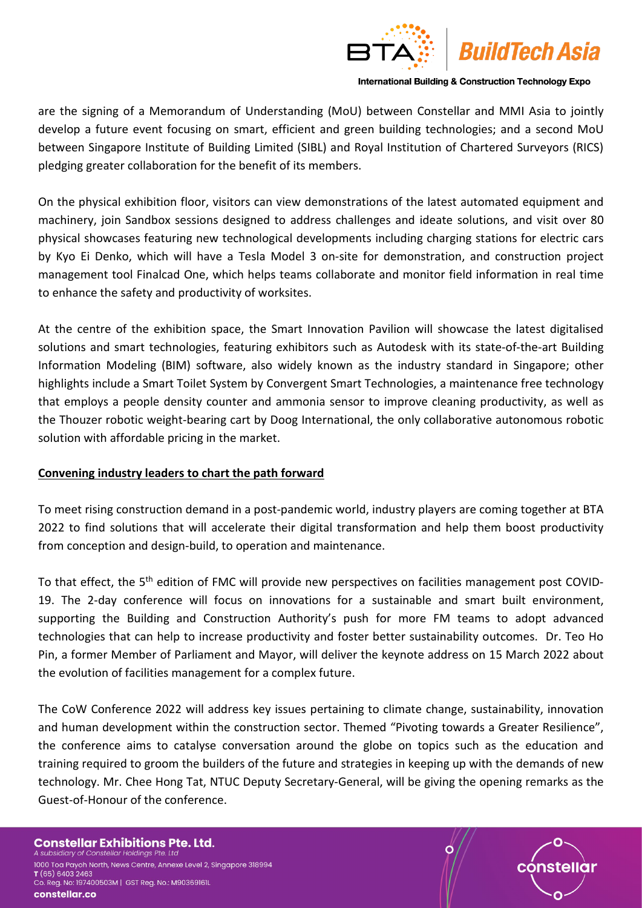

are the signing of a Memorandum of Understanding (MoU) between Constellar and MMI Asia to jointly develop a future event focusing on smart, efficient and green building technologies; and a second MoU between Singapore Institute of Building Limited (SIBL) and Royal Institution of Chartered Surveyors (RICS) pledging greater collaboration for the benefit of its members.

On the physical exhibition floor, visitors can view demonstrations of the latest automated equipment and machinery, join Sandbox sessions designed to address challenges and ideate solutions, and visit over 80 physical showcases featuring new technological developments including charging stations for electric cars by Kyo Ei Denko, which will have a Tesla Model 3 on-site for demonstration, and construction project management tool Finalcad One, which helps teams collaborate and monitor field information in real time to enhance the safety and productivity of worksites.

At the centre of the exhibition space, the Smart Innovation Pavilion will showcase the latest digitalised solutions and smart technologies, featuring exhibitors such as Autodesk with its state-of-the-art Building Information Modeling (BIM) software, also widely known as the industry standard in Singapore; other highlights include a Smart Toilet System by Convergent Smart Technologies, a maintenance free technology that employs a people density counter and ammonia sensor to improve cleaning productivity, as well as the Thouzer robotic weight-bearing cart by Doog International, the only collaborative autonomous robotic solution with affordable pricing in the market.

### **Convening industry leaders to chart the path forward**

To meet rising construction demand in a post-pandemic world, industry players are coming together at BTA 2022 to find solutions that will accelerate their digital transformation and help them boost productivity from conception and design-build, to operation and maintenance.

To that effect, the 5<sup>th</sup> edition of FMC will provide new perspectives on facilities management post COVID-19. The 2-day conference will focus on innovations for a sustainable and smart built environment, supporting the Building and Construction Authority's push for more FM teams to adopt advanced technologies that can help to increase productivity and foster better sustainability outcomes. Dr. Teo Ho Pin, a former Member of Parliament and Mayor, will deliver the keynote address on 15 March 2022 about the evolution of facilities management for a complex future.

The CoW Conference 2022 will address key issues pertaining to climate change, sustainability, innovation and human development within the construction sector. Themed "Pivoting towards a Greater Resilience", the conference aims to catalyse conversation around the globe on topics such as the education and training required to groom the builders of the future and strategies in keeping up with the demands of new technology. Mr. Chee Hong Tat, NTUC Deputy Secretary-General, will be giving the opening remarks as the Guest-of-Honour of the conference.

**Constellar Exhibitions Pte. Ltd.** A subsidiary of Constellar Holdings Pte. Ltd

1000 Toa Payoh North, News Centre, Annexe Level 2, Singapore 318994  $T(65)64032463$ Co. Reg. No: 197400503M | GST Reg. No.: M90369161L constellar.co



C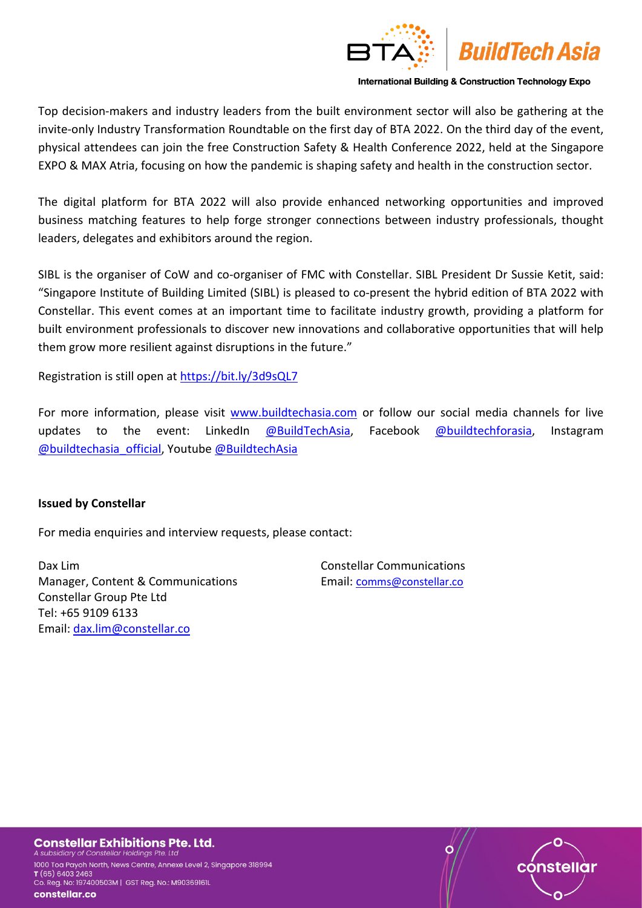

Top decision-makers and industry leaders from the built environment sector will also be gathering at the invite-only Industry Transformation Roundtable on the first day of BTA 2022. On the third day of the event, physical attendees can join the free Construction Safety & Health Conference 2022, held at the Singapore EXPO & MAX Atria, focusing on how the pandemic is shaping safety and health in the construction sector.

The digital platform for BTA 2022 will also provide enhanced networking opportunities and improved business matching features to help forge stronger connections between industry professionals, thought leaders, delegates and exhibitors around the region.

SIBL is the organiser of CoW and co-organiser of FMC with Constellar. SIBL President Dr Sussie Ketit, said: "Singapore Institute of Building Limited (SIBL) is pleased to co-present the hybrid edition of BTA 2022 with Constellar. This event comes at an important time to facilitate industry growth, providing a platform for built environment professionals to discover new innovations and collaborative opportunities that will help them grow more resilient against disruptions in the future."

Registration is still open at [https://bit.ly/3d9sQL7](https://bit.ly/3d9sQL7?fbclid=IwAR2LT6KFvoo1gFeq1GFsSkZkL49RJmDoNQfPBMFOQkDwScYfIfNDGgA6Cjw)

For more information, please visit [www.buildtechasia.com](http://www.buildtechasia.com/) or follow our social media channels for live updates to the event: LinkedIn [@BuildTechAsia,](https://www.linkedin.com/company/buildtech-asia/) Facebook [@buildtechforasia,](https://www.facebook.com/buildtechforasia/) Instagram [@buildtechasia\\_official,](https://www.instagram.com/buildtechasia_official/) Youtube [@BuildtechAsia](https://www.youtube.com/channel/UC3KGm76eCf2oshtNHy5SZTA)

#### **Issued by Constellar**

For media enquiries and interview requests, please contact:

Dax Lim Manager, Content & Communications Constellar Group Pte Ltd Tel: +65 9109 6133 Email: [dax.lim@constellar.co](mailto:dax.lim@constellar.co)

Constellar Communications Email: [comms@constellar.co](mailto:comms@constellar.co)